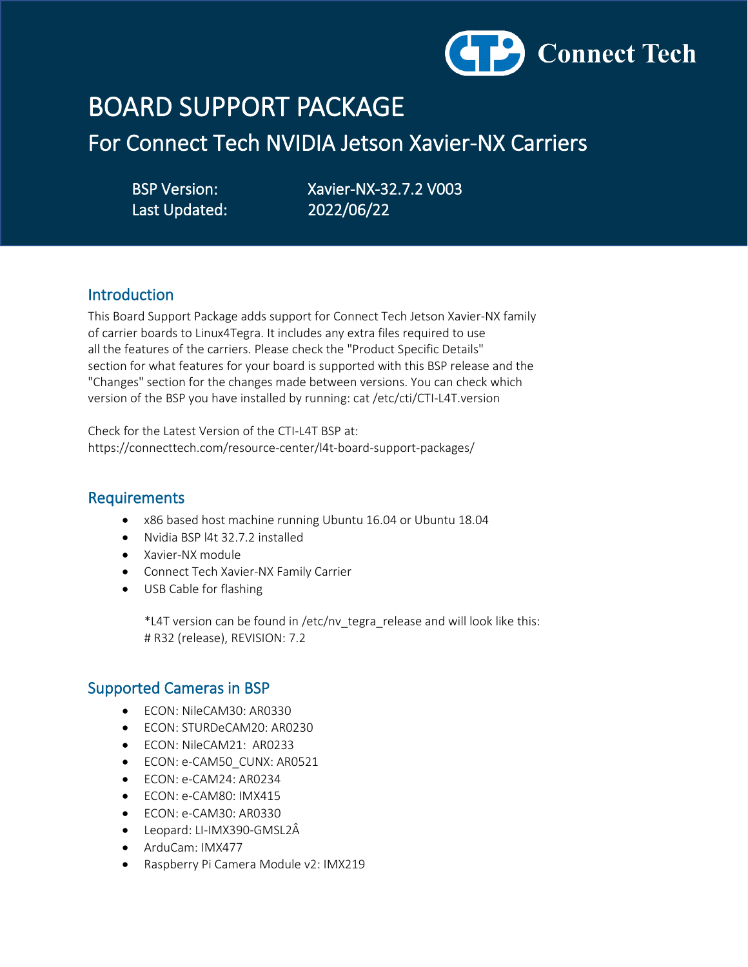

# BOARD SUPPORT PACKAGE

For Connect Tech NVIDIA Jetson Xavier-NX Carriers

Last Updated: 2022/06/22

BSP Version: Xavier-NX-32.7.2 V003

### Introduction

This Board Support Package adds support for Connect Tech Jetson Xavier-NX family of carrier boards to Linux4Tegra. It includes any extra files required to use all the features of the carriers. Please check the "Product Specific Details" section for what features for your board is supported with this BSP release and the "Changes" section for the changes made between versions. You can check which version of the BSP you have installed by running: cat /etc/cti/CTI-L4T.version

Check for the Latest Version of the CTI-L4T BSP at: https://connecttech.com/resource-center/l4t-board-support-packages/

### Requirements

- x86 based host machine running Ubuntu 16.04 or Ubuntu 18.04
- Nvidia BSP l4t 32.7.2 installed
- Xavier-NX module
- Connect Tech Xavier-NX Family Carrier
- USB Cable for flashing

 \*L4T version can be found in /etc/nv\_tegra\_release and will look like this: # R32 (release), REVISION: 7.2

### Supported Cameras in BSP

- ECON: NileCAM30: AR0330
- ECON: STURDeCAM20: AR0230
- ECON: NileCAM21: AR0233
- ECON: e-CAM50\_CUNX: AR0521
- ECON: e-CAM24: AR0234
- ECON: e-CAM80: IMX415
- ECON: e-CAM30: AR0330
- Leopard: LI-IMX390-GMSL2Â
- ArduCam: IMX477
- Raspberry Pi Camera Module v2: IMX219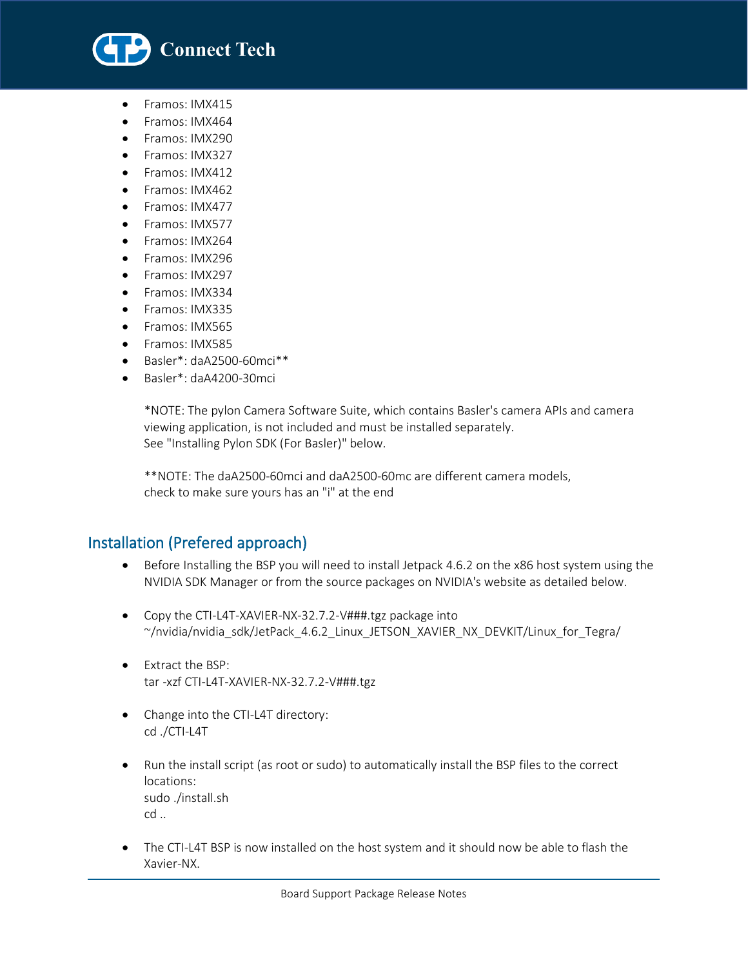

• Framos: IMX415

l

- Framos: IMX464
- Framos: IMX290
- Framos: IMX327
- Framos: IMX412
- Framos: IMX462
- Framos: IMX477
- Framos: IMX577
- Framos: IMX264
- Framos: IMX296
- Framos: IMX297
- Framos: IMX334
- Framos: IMX335
- Framos: IMX565
- Framos: IMX585
- Basler\*: daA2500-60mci\*\*
- 
- Basler\*: daA4200-30mci

 \*NOTE: The pylon Camera Software Suite, which contains Basler's camera APIs and camera viewing application, is not included and must be installed separately. See "Installing Pylon SDK (For Basler)" below.

 \*\*NOTE: The daA2500-60mci and daA2500-60mc are different camera models, check to make sure yours has an "i" at the end

## Installation (Prefered approach)

- Before Installing the BSP you will need to install Jetpack 4.6.2 on the x86 host system using the NVIDIA SDK Manager or from the source packages on NVIDIA's website as detailed below.
- Copy the CTI-L4T-XAVIER-NX-32.7.2-V###.tgz package into ~/nvidia/nvidia\_sdk/JetPack\_4.6.2\_Linux\_JETSON\_XAVIER\_NX\_DEVKIT/Linux\_for\_Tegra/
- Extract the BSP: tar -xzf CTI-L4T-XAVIER-NX-32.7.2-V###.tgz
- Change into the CTI-L4T directory: cd ./CTI-L4T
- Run the install script (as root or sudo) to automatically install the BSP files to the correct locations: sudo ./install.sh cd ..
- The CTI-L4T BSP is now installed on the host system and it should now be able to flash the Xavier-NX.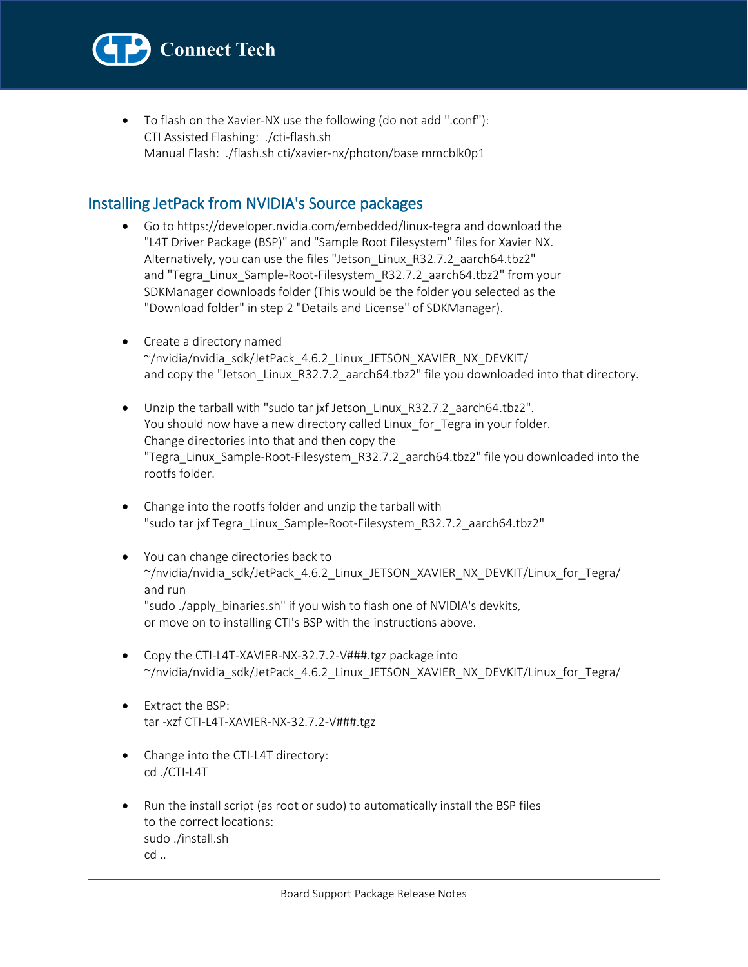

• To flash on the Xavier-NX use the following (do not add ".conf"): CTI Assisted Flashing: ./cti-flash.sh Manual Flash: ./flash.sh cti/xavier-nx/photon/base mmcblk0p1

# Installing JetPack from NVIDIA's Source packages

- Go to https://developer.nvidia.com/embedded/linux-tegra and download the "L4T Driver Package (BSP)" and "Sample Root Filesystem" files for Xavier NX. Alternatively, you can use the files "Jetson\_Linux\_R32.7.2\_aarch64.tbz2" and "Tegra\_Linux\_Sample-Root-Filesystem\_R32.7.2\_aarch64.tbz2" from your SDKManager downloads folder (This would be the folder you selected as the "Download folder" in step 2 "Details and License" of SDKManager).
- Create a directory named ~/nvidia/nvidia\_sdk/JetPack\_4.6.2\_Linux\_JETSON\_XAVIER\_NX\_DEVKIT/ and copy the "Jetson\_Linux\_R32.7.2\_aarch64.tbz2" file you downloaded into that directory.
- Unzip the tarball with "sudo tar jxf Jetson\_Linux\_R32.7.2\_aarch64.tbz2". You should now have a new directory called Linux for Tegra in your folder. Change directories into that and then copy the "Tegra\_Linux\_Sample-Root-Filesystem\_R32.7.2\_aarch64.tbz2" file you downloaded into the rootfs folder.
- Change into the rootfs folder and unzip the tarball with "sudo tar jxf Tegra\_Linux\_Sample-Root-Filesystem\_R32.7.2\_aarch64.tbz2"
- You can change directories back to  $\gamma$ nvidia/nvidia sdk/JetPack 4.6.2 Linux JETSON XAVIER NX DEVKIT/Linux for Tegra/ and run "sudo ./apply\_binaries.sh" if you wish to flash one of NVIDIA's devkits, or move on to installing CTI's BSP with the instructions above.
- Copy the CTI-L4T-XAVIER-NX-32.7.2-V###.tgz package into  $\gamma$ nvidia/nvidia sdk/JetPack 4.6.2 Linux JETSON XAVIER NX DEVKIT/Linux for Tegra/
- Extract the BSP: tar -xzf CTI-L4T-XAVIER-NX-32.7.2-V###.tgz
- Change into the CTI-L4T directory: cd ./CTI-L4T
- Run the install script (as root or sudo) to automatically install the BSP files to the correct locations: sudo ./install.sh cd ..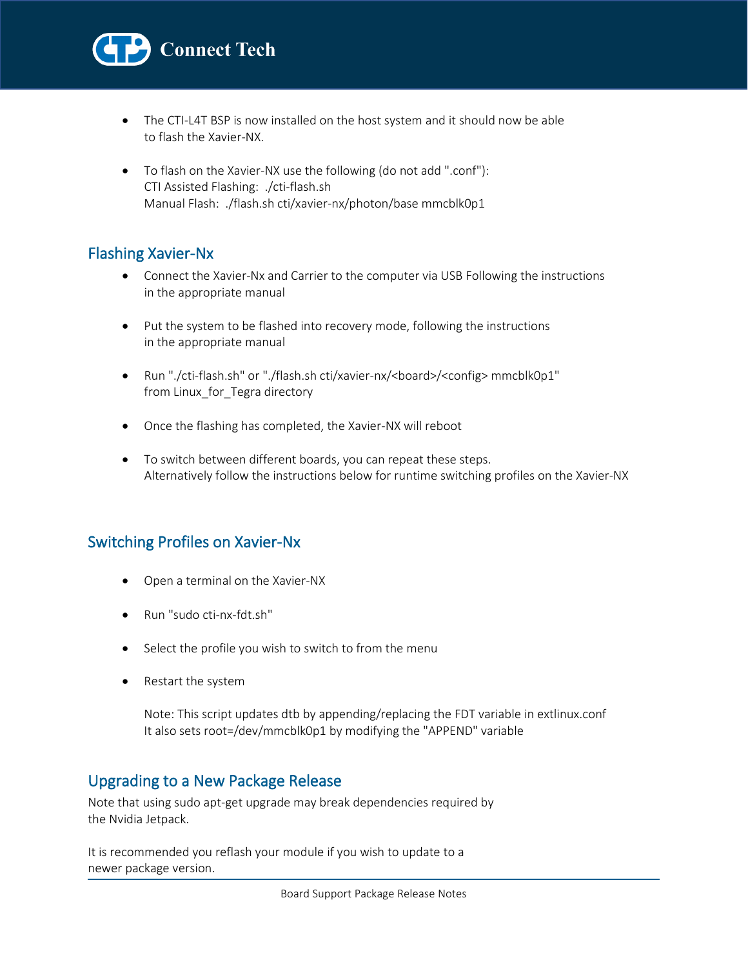

- The CTI-L4T BSP is now installed on the host system and it should now be able to flash the Xavier-NX.
- To flash on the Xavier-NX use the following (do not add ".conf"): CTI Assisted Flashing: ./cti-flash.sh Manual Flash: ./flash.sh cti/xavier-nx/photon/base mmcblk0p1

## Flashing Xavier-Nx

l

- Connect the Xavier-Nx and Carrier to the computer via USB Following the instructions in the appropriate manual
- Put the system to be flashed into recovery mode, following the instructions in the appropriate manual
- Run "./cti-flash.sh" or "./flash.sh cti/xavier-nx/<board>/<config> mmcblk0p1" from Linux for Tegra directory
- Once the flashing has completed, the Xavier-NX will reboot
- To switch between different boards, you can repeat these steps. Alternatively follow the instructions below for runtime switching profiles on the Xavier-NX

# Switching Profiles on Xavier-Nx

- Open a terminal on the Xavier-NX
- Run "sudo cti-nx-fdt.sh"
- Select the profile you wish to switch to from the menu
- Restart the system

 Note: This script updates dtb by appending/replacing the FDT variable in extlinux.conf It also sets root=/dev/mmcblk0p1 by modifying the "APPEND" variable

# Upgrading to a New Package Release

Note that using sudo apt-get upgrade may break dependencies required by the Nvidia Jetpack.

It is recommended you reflash your module if you wish to update to a newer package version.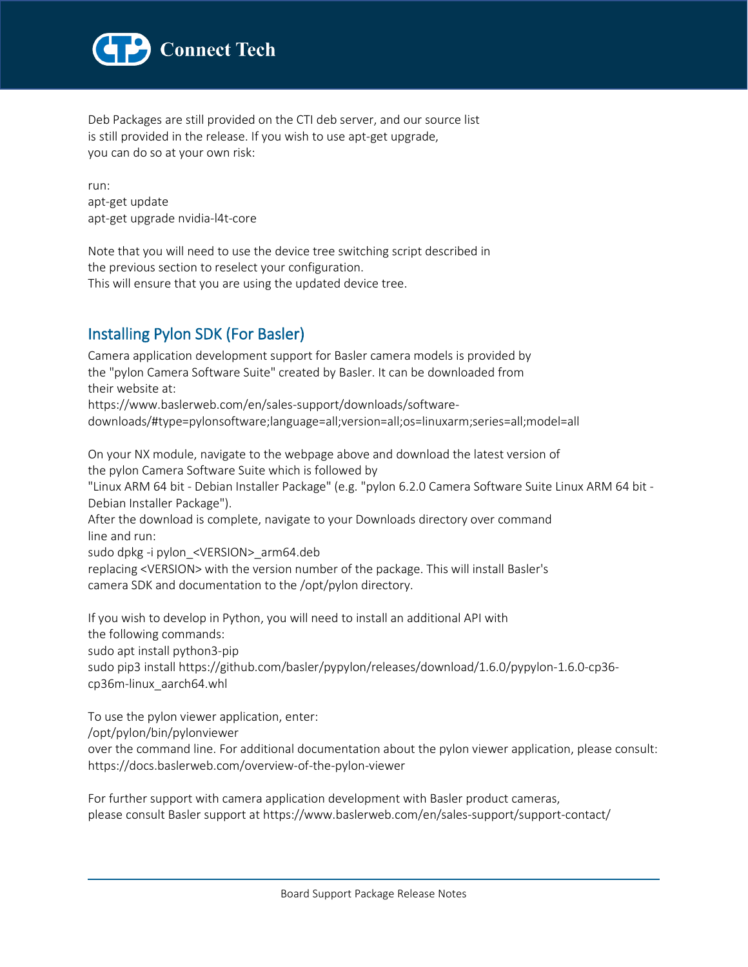

Deb Packages are still provided on the CTI deb server, and our source list is still provided in the release. If you wish to use apt-get upgrade, you can do so at your own risk:

run: apt-get update apt-get upgrade nvidia-l4t-core

Note that you will need to use the device tree switching script described in the previous section to reselect your configuration. This will ensure that you are using the updated device tree.

# Installing Pylon SDK (For Basler)

Camera application development support for Basler camera models is provided by the "pylon Camera Software Suite" created by Basler. It can be downloaded from their website at:

https://www.baslerweb.com/en/sales-support/downloads/softwaredownloads/#type=pylonsoftware;language=all;version=all;os=linuxarm;series=all;model=all

On your NX module, navigate to the webpage above and download the latest version of the pylon Camera Software Suite which is followed by

"Linux ARM 64 bit - Debian Installer Package" (e.g. "pylon 6.2.0 Camera Software Suite Linux ARM 64 bit - Debian Installer Package").

After the download is complete, navigate to your Downloads directory over command line and run:

sudo dpkg -i pylon\_<VERSION>\_arm64.deb

replacing <VERSION> with the version number of the package. This will install Basler's camera SDK and documentation to the /opt/pylon directory.

If you wish to develop in Python, you will need to install an additional API with the following commands: sudo apt install python3-pip sudo pip3 install https://github.com/basler/pypylon/releases/download/1.6.0/pypylon-1.6.0-cp36 cp36m-linux\_aarch64.whl

To use the pylon viewer application, enter:

/opt/pylon/bin/pylonviewer

over the command line. For additional documentation about the pylon viewer application, please consult: https://docs.baslerweb.com/overview-of-the-pylon-viewer

For further support with camera application development with Basler product cameras, please consult Basler support at https://www.baslerweb.com/en/sales-support/support-contact/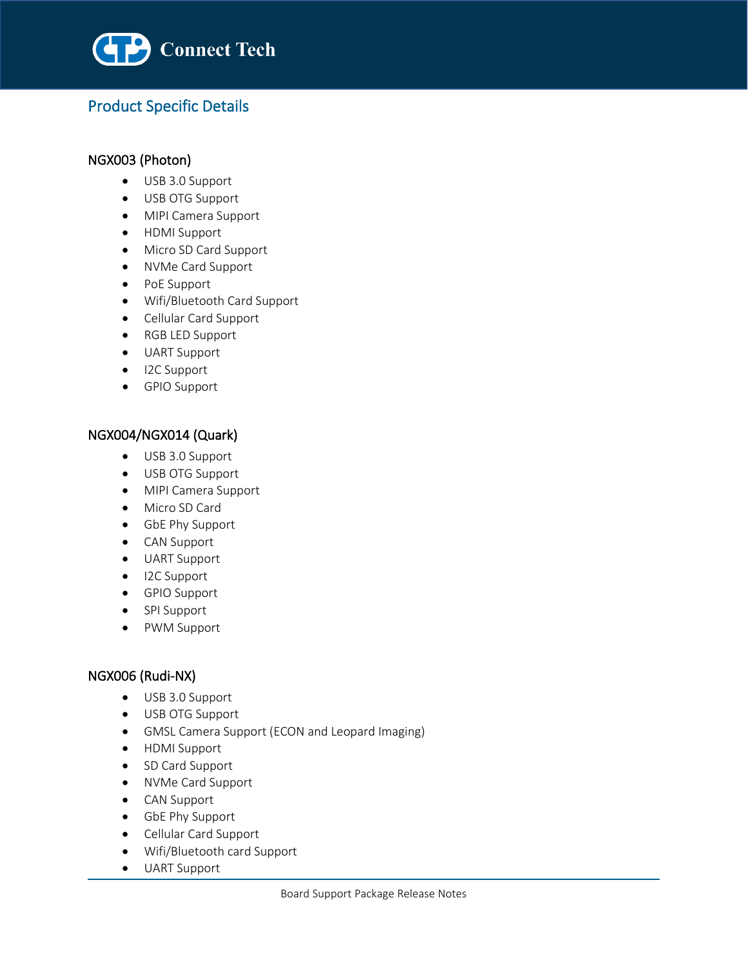

# Product Specific Details

### NGX003 (Photon)

l

- USB 3.0 Support
- USB OTG Support
- MIPI Camera Support
- HDMI Support
- Micro SD Card Support
- NVMe Card Support
- PoE Support
- Wifi/Bluetooth Card Support
- Cellular Card Support
- RGB LED Support
- UART Support
- I2C Support
- GPIO Support

### NGX004/NGX014 (Quark)

- USB 3.0 Support
- USB OTG Support
- MIPI Camera Support
- Micro SD Card
- GbE Phy Support
- CAN Support
- UART Support
- I2C Support
- GPIO Support
- SPI Support
- PWM Support

### NGX006 (Rudi-NX)

- USB 3.0 Support
- USB OTG Support
- GMSL Camera Support (ECON and Leopard Imaging)
- HDMI Support
- SD Card Support
- NVMe Card Support
- CAN Support
- GbE Phy Support
- Cellular Card Support
- Wifi/Bluetooth card Support
- UART Support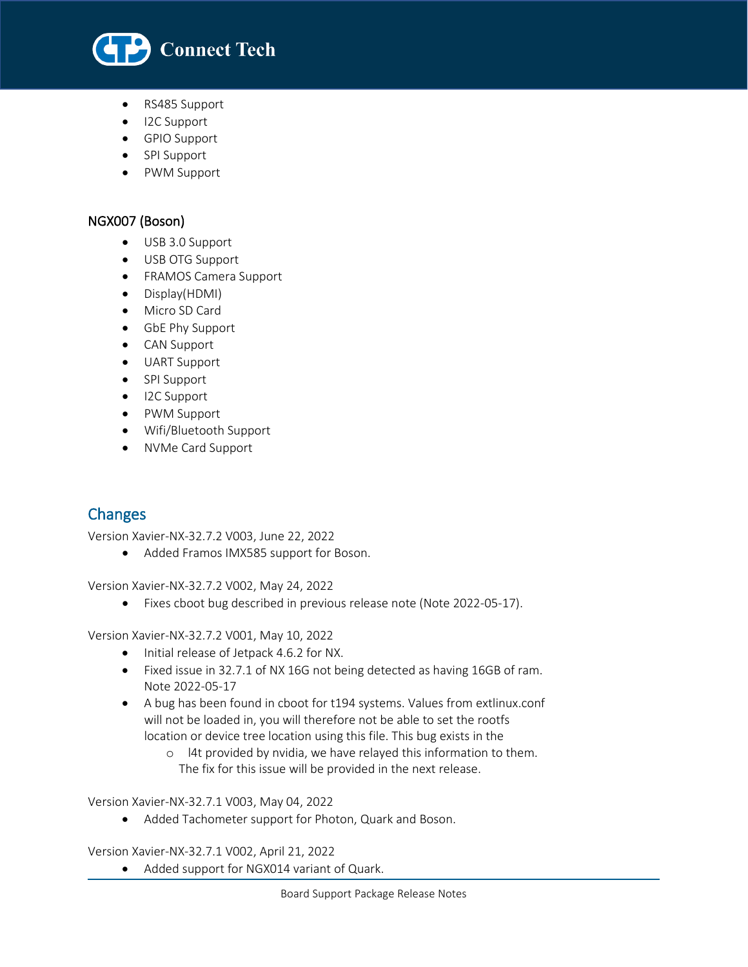

- RS485 Support
- I2C Support
- GPIO Support
- SPI Support
- PWM Support

### NGX007 (Boson)

l

- USB 3.0 Support
- USB OTG Support
- FRAMOS Camera Support
- Display(HDMI)
- Micro SD Card
- GbE Phy Support
- CAN Support
- UART Support
- SPI Support
- I2C Support
- PWM Support
- Wifi/Bluetooth Support
- NVMe Card Support

# Changes

Version Xavier-NX-32.7.2 V003, June 22, 2022

• Added Framos IMX585 support for Boson.

Version Xavier-NX-32.7.2 V002, May 24, 2022

• Fixes cboot bug described in previous release note (Note 2022-05-17).

Version Xavier-NX-32.7.2 V001, May 10, 2022

- Initial release of Jetpack 4.6.2 for NX.
- Fixed issue in 32.7.1 of NX 16G not being detected as having 16GB of ram. Note 2022-05-17
- A bug has been found in cboot for t194 systems. Values from extlinux.conf will not be loaded in, you will therefore not be able to set the rootfs location or device tree location using this file. This bug exists in the
	- o l4t provided by nvidia, we have relayed this information to them. The fix for this issue will be provided in the next release.

Version Xavier-NX-32.7.1 V003, May 04, 2022

• Added Tachometer support for Photon, Quark and Boson.

Version Xavier-NX-32.7.1 V002, April 21, 2022

• Added support for NGX014 variant of Quark.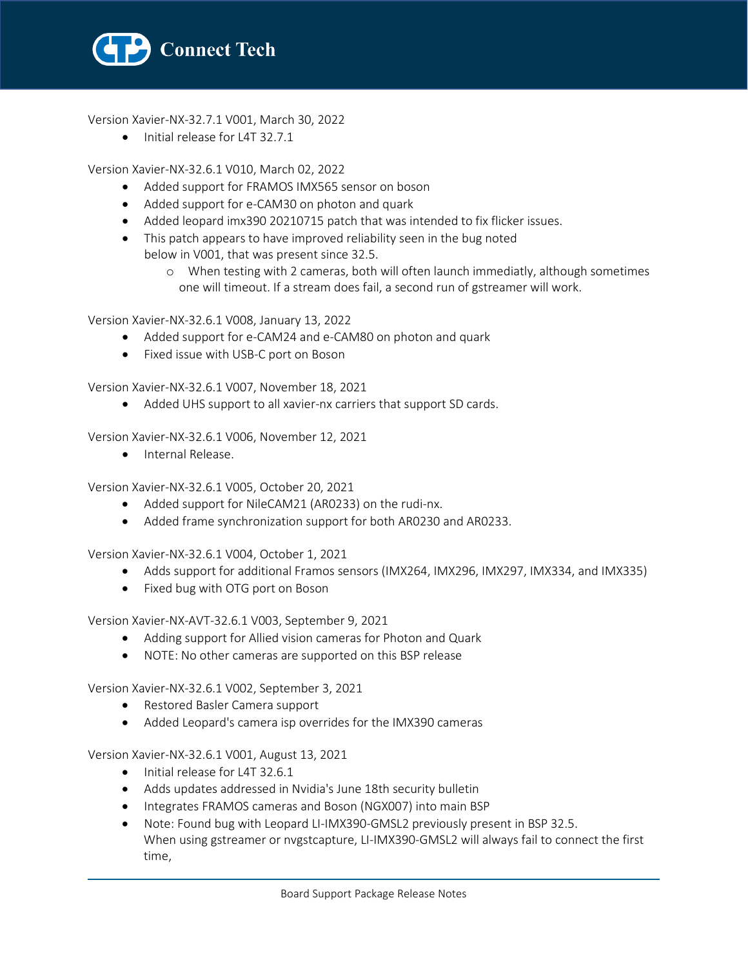

Version Xavier-NX-32.7.1 V001, March 30, 2022

• Initial release for L4T 32.7.1

Version Xavier-NX-32.6.1 V010, March 02, 2022

- Added support for FRAMOS IMX565 sensor on boson
- Added support for e-CAM30 on photon and quark
- Added leopard imx390 20210715 patch that was intended to fix flicker issues.
- This patch appears to have improved reliability seen in the bug noted below in V001, that was present since 32.5.
	- o When testing with 2 cameras, both will often launch immediatly, although sometimes one will timeout. If a stream does fail, a second run of gstreamer will work.

Version Xavier-NX-32.6.1 V008, January 13, 2022

- Added support for e-CAM24 and e-CAM80 on photon and quark
- Fixed issue with USB-C port on Boson

Version Xavier-NX-32.6.1 V007, November 18, 2021

• Added UHS support to all xavier-nx carriers that support SD cards.

Version Xavier-NX-32.6.1 V006, November 12, 2021

• Internal Release.

Version Xavier-NX-32.6.1 V005, October 20, 2021

- Added support for NileCAM21 (AR0233) on the rudi-nx.
- Added frame synchronization support for both AR0230 and AR0233.

Version Xavier-NX-32.6.1 V004, October 1, 2021

- Adds support for additional Framos sensors (IMX264, IMX296, IMX297, IMX334, and IMX335)
- Fixed bug with OTG port on Boson

Version Xavier-NX-AVT-32.6.1 V003, September 9, 2021

- Adding support for Allied vision cameras for Photon and Quark
- NOTE: No other cameras are supported on this BSP release

Version Xavier-NX-32.6.1 V002, September 3, 2021

- Restored Basler Camera support
- Added Leopard's camera isp overrides for the IMX390 cameras

Version Xavier-NX-32.6.1 V001, August 13, 2021

- Initial release for L4T 32.6.1
- Adds updates addressed in Nvidia's June 18th security bulletin
- Integrates FRAMOS cameras and Boson (NGX007) into main BSP
- Note: Found bug with Leopard LI-IMX390-GMSL2 previously present in BSP 32.5. When using gstreamer or nvgstcapture, LI-IMX390-GMSL2 will always fail to connect the first time,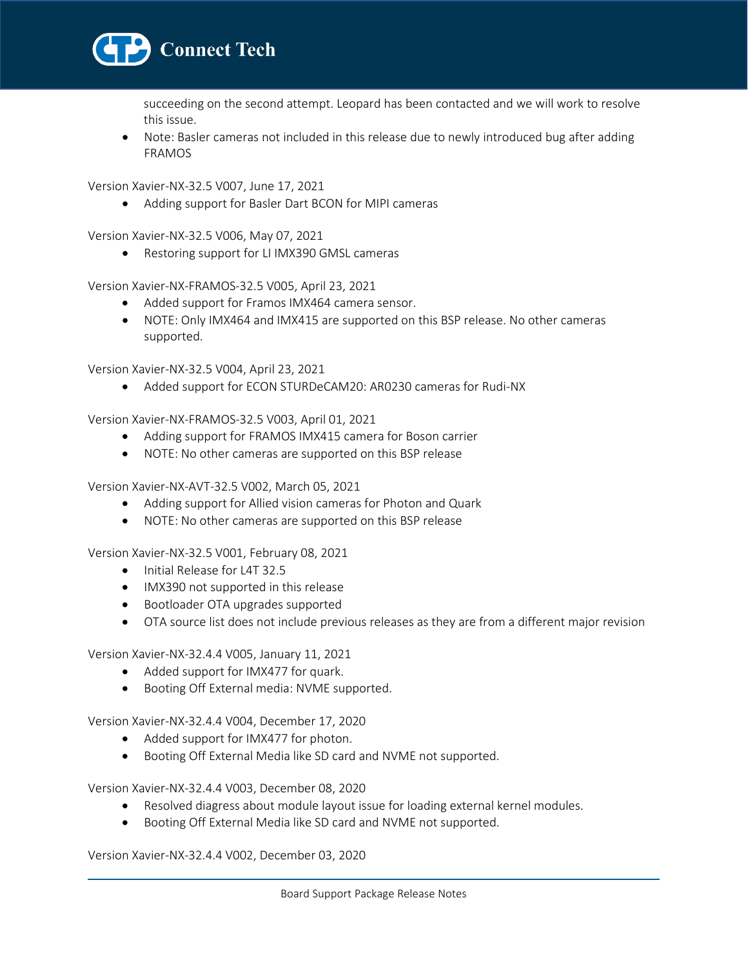

succeeding on the second attempt. Leopard has been contacted and we will work to resolve this issue.

• Note: Basler cameras not included in this release due to newly introduced bug after adding FRAMOS

Version Xavier-NX-32.5 V007, June 17, 2021

• Adding support for Basler Dart BCON for MIPI cameras

Version Xavier-NX-32.5 V006, May 07, 2021

• Restoring support for LI IMX390 GMSL cameras

Version Xavier-NX-FRAMOS-32.5 V005, April 23, 2021

- Added support for Framos IMX464 camera sensor.
- NOTE: Only IMX464 and IMX415 are supported on this BSP release. No other cameras supported.

Version Xavier-NX-32.5 V004, April 23, 2021

• Added support for ECON STURDeCAM20: AR0230 cameras for Rudi-NX

Version Xavier-NX-FRAMOS-32.5 V003, April 01, 2021

- Adding support for FRAMOS IMX415 camera for Boson carrier
- NOTE: No other cameras are supported on this BSP release

Version Xavier-NX-AVT-32.5 V002, March 05, 2021

- Adding support for Allied vision cameras for Photon and Quark
- NOTE: No other cameras are supported on this BSP release

Version Xavier-NX-32.5 V001, February 08, 2021

- Initial Release for L4T 32.5
- IMX390 not supported in this release
- Bootloader OTA upgrades supported
- OTA source list does not include previous releases as they are from a different major revision

Version Xavier-NX-32.4.4 V005, January 11, 2021

- Added support for IMX477 for quark.
- Booting Off External media: NVME supported.

Version Xavier-NX-32.4.4 V004, December 17, 2020

- Added support for IMX477 for photon.
- Booting Off External Media like SD card and NVME not supported.

Version Xavier-NX-32.4.4 V003, December 08, 2020

- Resolved diagress about module layout issue for loading external kernel modules.
- Booting Off External Media like SD card and NVME not supported.

Version Xavier-NX-32.4.4 V002, December 03, 2020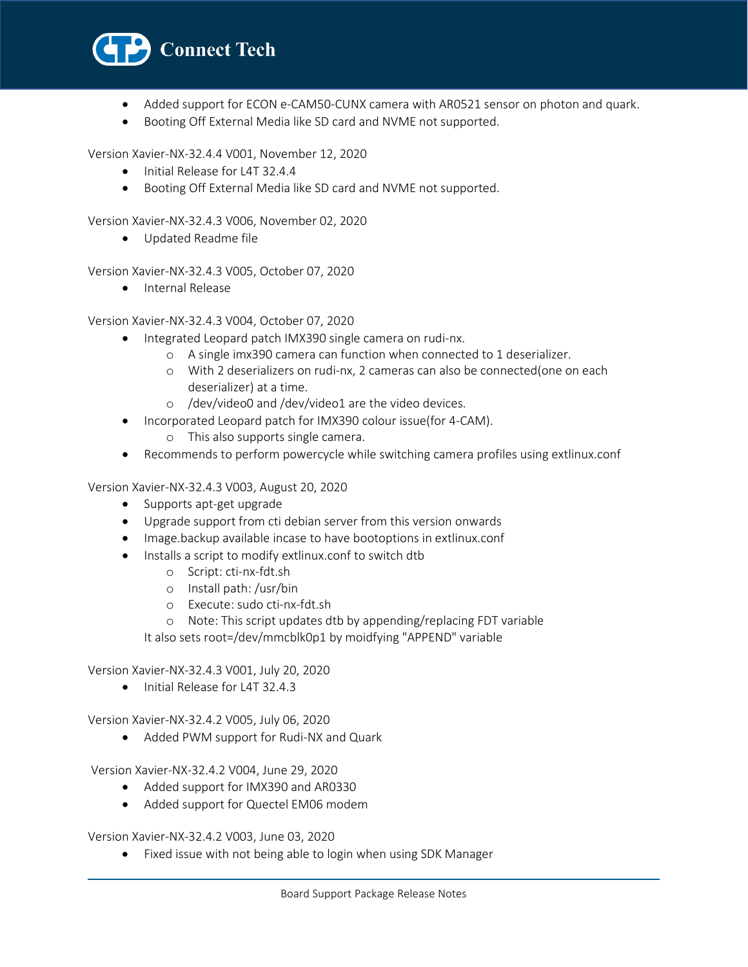

- Added support for ECON e-CAM50-CUNX camera with AR0521 sensor on photon and quark.
- Booting Off External Media like SD card and NVME not supported.

Version Xavier-NX-32.4.4 V001, November 12, 2020

- Initial Release for L4T 32.4.4
- Booting Off External Media like SD card and NVME not supported.

Version Xavier-NX-32.4.3 V006, November 02, 2020

• Updated Readme file

Version Xavier-NX-32.4.3 V005, October 07, 2020

• Internal Release

Version Xavier-NX-32.4.3 V004, October 07, 2020

- Integrated Leopard patch IMX390 single camera on rudi-nx.
	- o A single imx390 camera can function when connected to 1 deserializer.
	- o With 2 deserializers on rudi-nx, 2 cameras can also be connected(one on each deserializer) at a time.
	- o /dev/video0 and /dev/video1 are the video devices.
- Incorporated Leopard patch for IMX390 colour issue(for 4-CAM).
	- o This also supports single camera.
- Recommends to perform powercycle while switching camera profiles using extlinux.conf

Version Xavier-NX-32.4.3 V003, August 20, 2020

- Supports apt-get upgrade
- Upgrade support from cti debian server from this version onwards
- Image.backup available incase to have bootoptions in extlinux.conf
- Installs a script to modify extlinux.conf to switch dtb
	- o Script: cti-nx-fdt.sh
	- o Install path: /usr/bin
	- o Execute: sudo cti-nx-fdt.sh
	- o Note: This script updates dtb by appending/replacing FDT variable

It also sets root=/dev/mmcblk0p1 by moidfying "APPEND" variable

Version Xavier-NX-32.4.3 V001, July 20, 2020

• Initial Release for L4T 32.4.3

Version Xavier-NX-32.4.2 V005, July 06, 2020

• Added PWM support for Rudi-NX and Quark

Version Xavier-NX-32.4.2 V004, June 29, 2020

- Added support for IMX390 and AR0330
- Added support for Quectel EM06 modem

Version Xavier-NX-32.4.2 V003, June 03, 2020

• Fixed issue with not being able to login when using SDK Manager